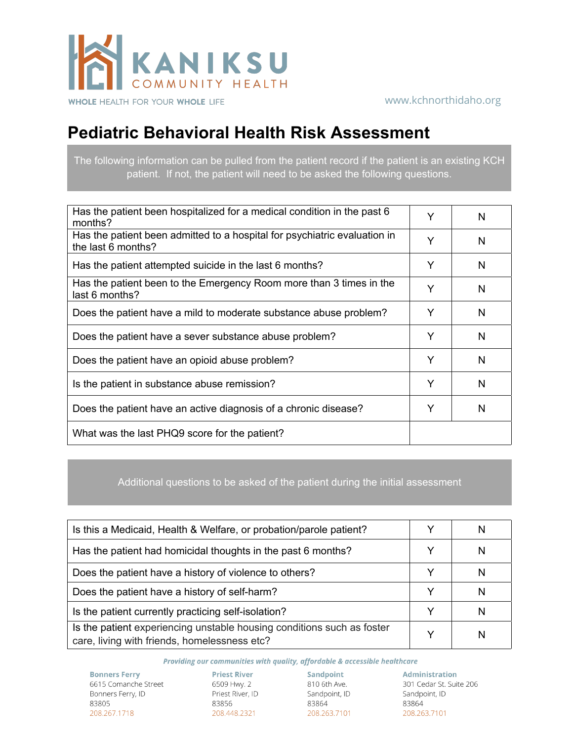

## **Pediatric Behavioral Health Risk Assessment**

The following information can be pulled from the patient record if the patient is an existing KCH patient. If not, the patient will need to be asked the following questions.

| Has the patient been hospitalized for a medical condition in the past 6<br>months?              | Y | N |
|-------------------------------------------------------------------------------------------------|---|---|
| Has the patient been admitted to a hospital for psychiatric evaluation in<br>the last 6 months? | Υ | N |
| Has the patient attempted suicide in the last 6 months?                                         | Y | N |
| Has the patient been to the Emergency Room more than 3 times in the<br>last 6 months?           | Υ | N |
| Does the patient have a mild to moderate substance abuse problem?                               | Y | N |
| Does the patient have a sever substance abuse problem?                                          | Υ | N |
| Does the patient have an opioid abuse problem?                                                  | Y | N |
| Is the patient in substance abuse remission?                                                    | Y | N |
| Does the patient have an active diagnosis of a chronic disease?                                 | Y | N |
| What was the last PHQ9 score for the patient?                                                   |   |   |

Additional questions to be asked of the patient during the initial assessment

| Is this a Medicaid, Health & Welfare, or probation/parole patient?                                                     |   |
|------------------------------------------------------------------------------------------------------------------------|---|
| Has the patient had homicidal thoughts in the past 6 months?                                                           |   |
| Does the patient have a history of violence to others?                                                                 |   |
| Does the patient have a history of self-harm?                                                                          | N |
| Is the patient currently practicing self-isolation?                                                                    | N |
| Is the patient experiencing unstable housing conditions such as foster<br>care, living with friends, homelessness etc? | N |

Providing our communities with quality, affordable & accessible healthcare

**Bonners Ferry** 6615 Comanche Street Bonners Ferry, ID 83805 208.267.1718

83856 208.448.2321

83864 208.263.7101

Priest River<br>
Sandpoint (Separation Administration<br>
Priest River, ID (Sandpoint, ID Sandpoint, ID Sandpoint, ID (Sandpoint, ID (Sandpoint, ID (Sandpoint)<br>
Sandpoint, ID (Sandpoint, ID (Sandpoint, ID (Sandpoint)<br>
Sandpoint 83864 208.263.7101